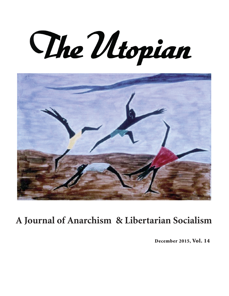The Utopian



# **A Journal of Anarchism & Libertarian Socialism**

December 2015, Vol. 14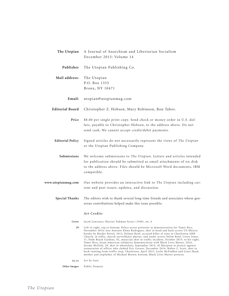| The Utopian             | A Journal of Anarchism and Libertarian Socialism<br>December 2015: Volume 14                                                                                                                                                                                                                                                                                                                                                                                                                                                                                                                                                                                                                                                                                                                                                                                                                                        |
|-------------------------|---------------------------------------------------------------------------------------------------------------------------------------------------------------------------------------------------------------------------------------------------------------------------------------------------------------------------------------------------------------------------------------------------------------------------------------------------------------------------------------------------------------------------------------------------------------------------------------------------------------------------------------------------------------------------------------------------------------------------------------------------------------------------------------------------------------------------------------------------------------------------------------------------------------------|
| Publisher               | The Utopian Publishing Co.                                                                                                                                                                                                                                                                                                                                                                                                                                                                                                                                                                                                                                                                                                                                                                                                                                                                                          |
| Mail address:           | The Utopian<br>P.O. Box 1355                                                                                                                                                                                                                                                                                                                                                                                                                                                                                                                                                                                                                                                                                                                                                                                                                                                                                        |
|                         | Bronx, NY 10471                                                                                                                                                                                                                                                                                                                                                                                                                                                                                                                                                                                                                                                                                                                                                                                                                                                                                                     |
| Email:                  | utopian@utopianmag.com                                                                                                                                                                                                                                                                                                                                                                                                                                                                                                                                                                                                                                                                                                                                                                                                                                                                                              |
| <b>Editorial Board</b>  | Christopher Z. Hobson, Mary Robinson, Ron Tabor.                                                                                                                                                                                                                                                                                                                                                                                                                                                                                                                                                                                                                                                                                                                                                                                                                                                                    |
| Price                   | \$8.00 per single print copy. Send check or money order in U.S. dol-<br>lars, payable to Christopher Hobson, to the address above. Do not<br>send cash. We cannot accept credit/debit payments.                                                                                                                                                                                                                                                                                                                                                                                                                                                                                                                                                                                                                                                                                                                     |
| <b>Editorial Policy</b> | Signed articles do not necessarily represent the views of The Utopian<br>or the Utopian Publishing Company.                                                                                                                                                                                                                                                                                                                                                                                                                                                                                                                                                                                                                                                                                                                                                                                                         |
| Submissions             | We welcome submisisons to The Utopian. Letters and articles intended<br>for publication should be submitted as email attachments of on disk<br>to the address above. Files should be Microsoft Word documents, IBM<br>compatible.                                                                                                                                                                                                                                                                                                                                                                                                                                                                                                                                                                                                                                                                                   |
| www.utopianmag.com      | Our website provides an interactive link to The Utopian including cur-<br>rent and past issues, updates, and discussion.                                                                                                                                                                                                                                                                                                                                                                                                                                                                                                                                                                                                                                                                                                                                                                                            |
| <b>Special Thanks</b>   | The editors wish to thank several long-time friends and associates whose gen-<br>erous contributions helped make this issue possible.                                                                                                                                                                                                                                                                                                                                                                                                                                                                                                                                                                                                                                                                                                                                                                               |
|                         | Art Credits                                                                                                                                                                                                                                                                                                                                                                                                                                                                                                                                                                                                                                                                                                                                                                                                                                                                                                         |
| Cover                   | Jacob Lawrence, Harriet Tubman Series (1940), no. 4                                                                                                                                                                                                                                                                                                                                                                                                                                                                                                                                                                                                                                                                                                                                                                                                                                                                 |
| 29                      | Left to right, top to bottom: Police arrest protester at demonstration for Tamir Rice,<br>November 2014; Jose Antonio Elena Rodriguez, shot in head and back across US-Mexico<br>border by Border Patrol, 2012; Dylann Roof, accused killer of nine in Charleston AME<br>Church, in selfie, church surveillance photos, and under arrest; below Roof, Corey Jones,<br>31, Palm Beach Gardens, FL, musician shot in traffic incident, October 2015; to his right,<br>Tamir Rice; Asian American solidarity demonstration with Black Lives Matter, 2014;<br>Jeremy McDole, 28, shot in wheelchair, September 2015; Al Sharpton at protest against<br>exoneration of officer who choked Eric Garner, December 2014; Walter L. Scott, shot in<br>back running from traffic stop, Charleston, April 2015; Leslie McFadden and Louis Head,<br>mother and stepfather of Michael Brown; bottom, Black Lives Matter protests |

**53-71** Art by Gaia

**Other Images** Public Domain